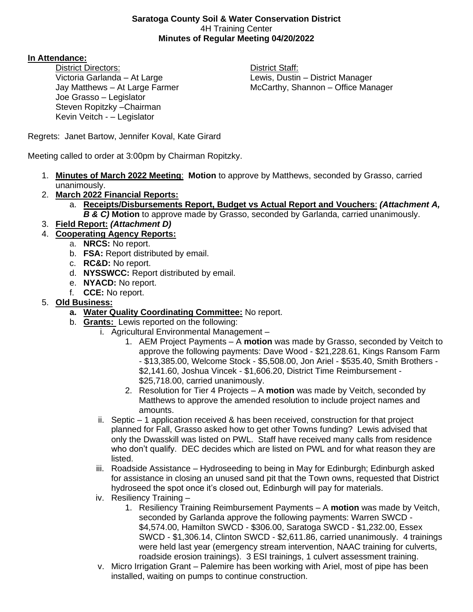#### **Saratoga County Soil & Water Conservation District** 4H Training Center **Minutes of Regular Meeting 04/20/2022**

## **In Attendance:**

District Directors: **District Staff:** Victoria Garlanda – At Large Lewis, Dustin – District Manager Joe Grasso – Legislator Steven Ropitzky –Chairman Kevin Veitch - – Legislator

Jay Matthews – At Large Farmer McCarthy, Shannon – Office Manager

Regrets: Janet Bartow, Jennifer Koval, Kate Girard

Meeting called to order at 3:00pm by Chairman Ropitzky.

- 1. **Minutes of March 2022 Meeting**: **Motion** to approve by Matthews, seconded by Grasso, carried unanimously.
- 2. **March 2022 Financial Reports:**
	- a. **Receipts/Disbursements Report, Budget vs Actual Report and Vouchers**: *(Attachment A, B & C)* **Motion** to approve made by Grasso, seconded by Garlanda, carried unanimously.
- 3. **Field Report:** *(Attachment D)*
- 4. **Cooperating Agency Reports:**
	- a. **NRCS:** No report.
	- b. **FSA:** Report distributed by email.
	- c. **RC&D:** No report.
	- d. **NYSSWCC:** Report distributed by email.
	- e. **NYACD:** No report.
	- f. **CCE:** No report.
- 5. **Old Business:**
	- **a. Water Quality Coordinating Committee:** No report.
	- b. **Grants:** Lewis reported on the following:
		- i. Agricultural Environmental Management
			- 1. AEM Project Payments A **motion** was made by Grasso, seconded by Veitch to approve the following payments: Dave Wood - \$21,228.61, Kings Ransom Farm - \$13,385.00, Welcome Stock - \$5,508.00, Jon Ariel - \$535.40, Smith Brothers - \$2,141.60, Joshua Vincek - \$1,606.20, District Time Reimbursement - \$25,718.00, carried unanimously.
			- 2. Resolution for Tier 4 Projects A **motion** was made by Veitch, seconded by Matthews to approve the amended resolution to include project names and amounts.
			- ii. Septic 1 application received & has been received, construction for that project planned for Fall, Grasso asked how to get other Towns funding? Lewis advised that only the Dwasskill was listed on PWL. Staff have received many calls from residence who don't qualify. DEC decides which are listed on PWL and for what reason they are listed.
			- iii. Roadside Assistance Hydroseeding to being in May for Edinburgh; Edinburgh asked for assistance in closing an unused sand pit that the Town owns, requested that District hydroseed the spot once it's closed out, Edinburgh will pay for materials.
			- iv. Resiliency Training
				- 1. Resiliency Training Reimbursement Payments A **motion** was made by Veitch, seconded by Garlanda approve the following payments: Warren SWCD - \$4,574.00, Hamilton SWCD - \$306.00, Saratoga SWCD - \$1,232.00, Essex SWCD - \$1,306.14, Clinton SWCD - \$2,611.86, carried unanimously. 4 trainings were held last year (emergency stream intervention, NAAC training for culverts, roadside erosion trainings). 3 ESI trainings, 1 culvert assessment training.
			- v. Micro Irrigation Grant Palemire has been working with Ariel, most of pipe has been installed, waiting on pumps to continue construction.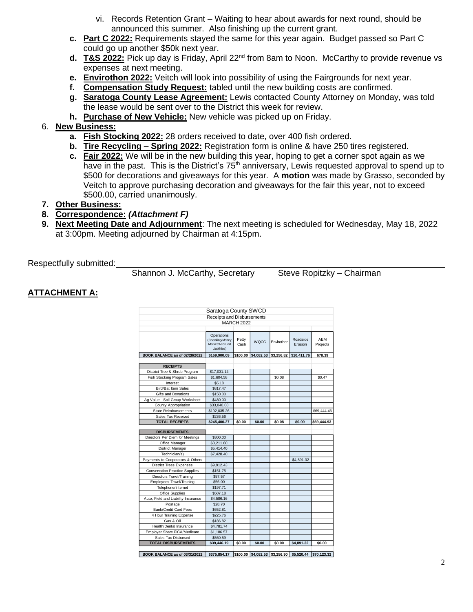- vi. Records Retention Grant Waiting to hear about awards for next round, should be announced this summer. Also finishing up the current grant.
- **c. Part C 2022:** Requirements stayed the same for this year again. Budget passed so Part C could go up another \$50k next year.
- **d. T&S 2022:** Pick up day is Friday, April 22nd from 8am to Noon. McCarthy to provide revenue vs expenses at next meeting.
- **e. Envirothon 2022:** Veitch will look into possibility of using the Fairgrounds for next year.
- **f. Compensation Study Request:** tabled until the new building costs are confirmed.
- **g. Saratoga County Lease Agreement:** Lewis contacted County Attorney on Monday, was told the lease would be sent over to the District this week for review.
- **h. Purchase of New Vehicle:** New vehicle was picked up on Friday.

## 6. **New Business:**

- **a. Fish Stocking 2022:** 28 orders received to date, over 400 fish ordered.
- **b. Tire Recycling – Spring 2022:** Registration form is online & have 250 tires registered.
- **c. Fair 2022:** We will be in the new building this year, hoping to get a corner spot again as we have in the past. This is the District's 75<sup>th</sup> anniversary, Lewis requested approval to spend up to \$500 for decorations and giveaways for this year. A **motion** was made by Grasso, seconded by Veitch to approve purchasing decoration and giveaways for the fair this year, not to exceed \$500.00, carried unanimously.
- **7. Other Business:**

#### **8. Correspondence:** *(Attachment F)*

**9. Next Meeting Date and Adjournment**: The next meeting is scheduled for Wednesday, May 18, 2022 at 3:00pm. Meeting adjourned by Chairman at 4:15pm.

Respectfully submitted:

Shannon J. McCarthy, Secretary Steve Ropitzky – Chairman

## **ATTACHMENT A:**

| Saratoga County SWCD                  |                                                                 |               |             |            |                     |                        |  |  |
|---------------------------------------|-----------------------------------------------------------------|---------------|-------------|------------|---------------------|------------------------|--|--|
| Receipts and Disbursements            |                                                                 |               |             |            |                     |                        |  |  |
| <b>MARCH 2022</b>                     |                                                                 |               |             |            |                     |                        |  |  |
|                                       |                                                                 |               |             |            |                     |                        |  |  |
|                                       | Operations<br>(Checking/Money<br>Market/Accrued<br>Liabilities) | Petty<br>Cash | <b>WQCC</b> | Envirothon | Roadside<br>Erosion | <b>AEM</b><br>Projects |  |  |
| BOOK BALANCE as of 02/28/2022         | \$169,900.09                                                    | \$100.00      | \$4,082.53  | \$3,256.82 | \$10,411.76         | 678.39                 |  |  |
|                                       |                                                                 |               |             |            |                     |                        |  |  |
| <b>RECEIPTS</b>                       |                                                                 |               |             |            |                     |                        |  |  |
| District Tree & Shrub Program         | \$17,031.14                                                     |               |             |            |                     |                        |  |  |
| Fish Stocking Program Sales           | \$1,604.58                                                      |               |             | \$0.08     |                     |                        |  |  |
| Interest                              | \$5.18                                                          |               |             |            |                     |                        |  |  |
| <b>Bird/Bat Item Sales</b>            | \$817.47                                                        |               |             |            |                     |                        |  |  |
| Gifts and Donations                   | \$150.00                                                        |               |             |            |                     |                        |  |  |
| Ag Value - Soil Group Worksheet       | \$480.00                                                        |               |             |            |                     |                        |  |  |
| County Appropriation                  | \$33,040.08                                                     |               |             |            |                     |                        |  |  |
| <b>State Reimbursements</b>           | \$192,035.26                                                    |               |             |            |                     | \$69,444.46            |  |  |
| Sales Tax Received                    | \$236.56                                                        |               |             |            |                     |                        |  |  |
| <b>TOTAL RECEIPTS</b>                 | \$245,400.27                                                    | \$0.00        | \$0.00      | \$0.08     | \$0.00              | \$69,444.93            |  |  |
|                                       |                                                                 |               |             |            |                     |                        |  |  |
| <b>DISBURSEMENTS</b>                  |                                                                 |               |             |            |                     |                        |  |  |
| Directors Per Diem for Meetings       | \$300.00                                                        |               |             |            |                     |                        |  |  |
| Office Manager                        | \$3,211.60                                                      |               |             |            |                     |                        |  |  |
| District Manager                      | \$5,414.40                                                      |               |             |            |                     |                        |  |  |
| Technician(s)                         | \$7,428.40                                                      |               |             |            |                     |                        |  |  |
| Payments to Cooperators & Others      |                                                                 |               |             |            | \$4,891.32          |                        |  |  |
| <b>District Trees Expenses</b>        | \$9,912.43                                                      |               |             |            |                     |                        |  |  |
| <b>Conservation Practice Supplies</b> | \$151.75                                                        |               |             |            |                     |                        |  |  |
| Directors Travel/Training             | \$57.57                                                         |               |             |            |                     |                        |  |  |
| <b>Employees Travel/Training</b>      | \$56.00                                                         |               |             |            |                     |                        |  |  |
| Telephone/Internet                    | \$197.71                                                        |               |             |            |                     |                        |  |  |
| Office Supplies                       | \$507.18                                                        |               |             |            |                     |                        |  |  |
| Auto, Field and Liability Insurance   | \$4,586.16                                                      |               |             |            |                     |                        |  |  |
| Postage                               | \$28.70                                                         |               |             |            |                     |                        |  |  |
| <b>Bank/Credit Card Fees</b>          | \$652.81                                                        |               |             |            |                     |                        |  |  |
| 4 Hour Training Expense               | \$225.76                                                        |               |             |            |                     |                        |  |  |
| Gas & Oil                             | \$186.82                                                        |               |             |            |                     |                        |  |  |
| Health/Dental Insurance               | \$4,781.74                                                      |               |             |            |                     |                        |  |  |
| Employer Share FICA/Medicare          | \$1,186.57                                                      |               |             |            |                     |                        |  |  |
| Sales Tax Disbursed                   | \$560.59                                                        |               |             |            |                     |                        |  |  |
| <b>TOTAL DISBURSEMENTS</b>            | \$39,446.19                                                     | \$0.00        | \$0.00      | \$0.00     | \$4,891.32          | \$0.00                 |  |  |

**BOOK BALANCE as of 03/31/2022 \$375,854.17 \$100.00 \$4,082.53 \$3,256.90 \$5,520.44 \$70,123.32**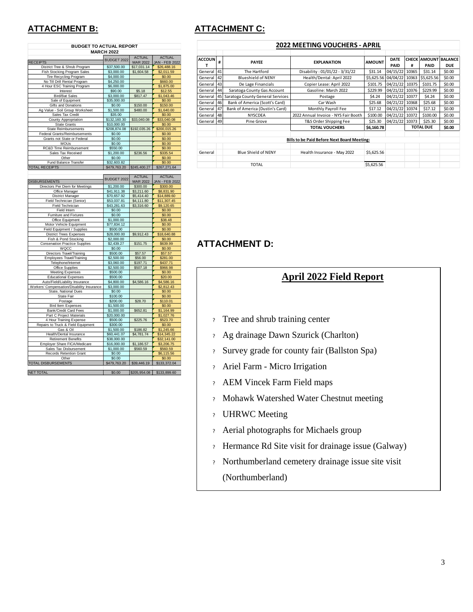| <b>BUDGET TO ACTUAL REPORT</b>                     |                             |                                |                               |  |  |  |  |
|----------------------------------------------------|-----------------------------|--------------------------------|-------------------------------|--|--|--|--|
| <b>MARCH 2022</b>                                  |                             |                                |                               |  |  |  |  |
|                                                    | BUDGET 2022                 | <b>ACTUAL</b>                  | <b>ACTUAL</b>                 |  |  |  |  |
| <b>RECEIPTS</b><br>District Tree & Shrub Program   | \$37,500.00                 | <b>MAR 2022</b><br>\$17,031.14 | JAN - FEB 2022<br>\$26,488.16 |  |  |  |  |
| Fish Stocking Program Sales                        | \$3,000.00                  | \$1,604.58                     | \$2,011.59                    |  |  |  |  |
| Tire Recycling Program                             | \$4,000.00                  |                                | \$0.00                        |  |  |  |  |
| No Till Drill Rental Program                       | \$4,250.00                  |                                | \$660.00                      |  |  |  |  |
| 4 Hour ESC Training Program                        | \$6,000.00                  |                                | \$1,875.00                    |  |  |  |  |
| Interest                                           | \$90.00                     | \$5.18                         | \$12.55                       |  |  |  |  |
| <b>Bird/Bat Sales</b>                              | \$3,000.00                  | \$817.47                       | \$1,043.46                    |  |  |  |  |
| Sale of Equipment                                  | \$35,000.00                 |                                | \$0.00                        |  |  |  |  |
| Gifts and Donations                                | \$0.00                      | \$150.00                       | \$150.00                      |  |  |  |  |
| Ag Value - Soil Group Worksheet                    | \$1,500.00                  | \$480.00                       | \$1,640.00                    |  |  |  |  |
| Sales Tax Credit                                   | \$35.00                     |                                | \$0.00                        |  |  |  |  |
| County Appropriation                               | \$132,160.30<br>\$10,000.00 | \$33,040.08                    | \$33,040.08                   |  |  |  |  |
| <b>State Grants</b><br><b>State Reimbursements</b> | \$208,874.08                | \$192,035.26                   | \$0.00<br>\$200,015.26        |  |  |  |  |
| Federal Grants/Reimbursements                      | \$0.00                      |                                | \$0.00                        |  |  |  |  |
| Grants not State or Federal                        | \$0.00                      |                                | \$0.00                        |  |  |  |  |
| <b>MOUs</b>                                        | \$0.00                      |                                | \$0.00                        |  |  |  |  |
| <b>RC&amp;D Time Reimbursement</b>                 | \$550.00                    |                                | \$0.00                        |  |  |  |  |
| Sales Tax Received                                 | \$1,200.00                  | \$236.56                       | \$335.54                      |  |  |  |  |
| Other                                              | \$0.00                      |                                | \$0.00                        |  |  |  |  |
| Fund Balance Transfer                              | \$32,603.82                 |                                | \$0.00                        |  |  |  |  |
| <b>TOTAL RECEIPTS</b>                              | \$479,763.20                | \$245,400.27                   | \$267,271.64                  |  |  |  |  |
|                                                    |                             |                                |                               |  |  |  |  |
|                                                    | BUDGET 2022                 | <b>ACTUAL</b>                  | <b>ACTUAL</b>                 |  |  |  |  |
| <b>DISBURSEMENTS</b>                               |                             | <b>MAR 2022</b>                | <b>JAN - FEB 2022</b>         |  |  |  |  |
| Directors Per Diem for Meetings                    | \$1,200.00                  | \$300.00                       | \$300.00                      |  |  |  |  |
| Office Manager                                     | \$41,911.38                 | \$3,211.60                     | \$8,831.90                    |  |  |  |  |
| <b>District Manager</b>                            | \$70,657.92                 | \$5,414.40                     | \$14,889.60                   |  |  |  |  |
| Field Technician (Senior)                          | \$53,037.81                 | \$4,111.80                     | \$11,307.45                   |  |  |  |  |
| Field Technician                                   | \$43,281.63                 | \$3,316.60                     | \$9,120.65                    |  |  |  |  |
| Field Intern                                       | \$0.00                      |                                | \$0.00<br>\$0.00              |  |  |  |  |
| Furniture and Fixtures<br>Office Equipment         | \$0.00<br>\$1,000.00        |                                | \$38.48                       |  |  |  |  |
| Motor Vehicle Equipment                            | \$77,834.12                 |                                | \$0.00                        |  |  |  |  |
| Field Equipment / Supplies                         | \$500.00                    |                                | \$0.00                        |  |  |  |  |
| <b>District Trees Expenses</b>                     | \$28,000.00                 | \$9,912.43                     | \$18,640.88                   |  |  |  |  |
| Fish & Pond Stocking                               | \$2,000.00                  |                                | \$0.00                        |  |  |  |  |
| <b>Conservation Practice Supplies</b>              | \$2,439.27                  | \$151.75                       | \$639.99                      |  |  |  |  |
| WQCC                                               | \$0.00                      |                                | \$0.00                        |  |  |  |  |
| Directors Travel/Training                          | \$500.00                    | \$57.57                        | \$57.57                       |  |  |  |  |
| Employees Travel/Training                          | \$2,500.00                  | \$56.00                        | \$281.00                      |  |  |  |  |
| Telephone/Internet                                 | \$3,060.00                  | \$197.71                       | \$437.71                      |  |  |  |  |
| Office Supplies                                    | \$2,500.00                  | \$507.18                       | \$966.98                      |  |  |  |  |
| <b>Meeting Expenses</b>                            | \$500.00                    |                                | \$0.00                        |  |  |  |  |
| <b>Educational Expenses</b>                        | \$500.00                    |                                | \$20.00                       |  |  |  |  |
| Auto/Field/Liability Insurance                     | \$4,800.00                  | \$4,586.16                     | \$4,586.16                    |  |  |  |  |
| Workers' Compensation/Disability Insurance         | \$3,000.00                  |                                | \$2,812.43                    |  |  |  |  |
| State, National Dues<br>State Fair                 | \$0.00<br>\$100.00          |                                | \$0.00<br>\$0.00              |  |  |  |  |
| Postage                                            | \$200.00                    | \$28.70                        | \$110.01                      |  |  |  |  |
| <b>Bird Item Expenses</b>                          | \$1,500.00                  |                                | \$0.00                        |  |  |  |  |
| Bank/Credit Card Fees                              | \$1,000.00                  | \$652.81                       | \$1,164.99                    |  |  |  |  |
| Part C Project Materials                           | \$20,000.00                 |                                | \$1,027.76                    |  |  |  |  |
| 4 Hour Training Expense                            | \$500.00                    | \$225.76                       | \$523.70                      |  |  |  |  |
| Repairs to Truck & Field Equipment                 | \$300.00                    |                                | \$0.00                        |  |  |  |  |
| Gas & Oil                                          | \$1,500.00                  | \$186.82                       | \$1,245.66                    |  |  |  |  |
| Health/Dental Insurance                            | \$60,441.07                 | \$4,781.74                     | \$14,345.22                   |  |  |  |  |
| <b>Retirement Benefits</b>                         | \$38,000.00                 |                                | \$32,141.00                   |  |  |  |  |
| Employer Share FICA/Medicare                       | \$16,000.00                 | \$1,186.57                     | \$3,206.75                    |  |  |  |  |
| Sales Tax Disbursement                             | \$1,000.00                  | \$560.59                       | \$560.59                      |  |  |  |  |
| Records Retention Grant                            | \$0.00                      |                                | \$6,115.56                    |  |  |  |  |
| Other                                              | \$0.00                      |                                | \$0.00                        |  |  |  |  |
| TOTAL DISBURSEMENTS                                | \$479,763.20                | \$39,446.19                    | \$133,372.04                  |  |  |  |  |
|                                                    |                             |                                |                               |  |  |  |  |
| <b>NET TOTAL</b>                                   | \$0.00                      | \$205,954.08                   | \$133,899.60                  |  |  |  |  |

# **ATTACHMENT B: ATTACHMENT C:**

| <b>2022 MEETING VOUCHERS - APRIL</b>               |    |                                  |                                      |                                |                |        |                             |            |
|----------------------------------------------------|----|----------------------------------|--------------------------------------|--------------------------------|----------------|--------|-----------------------------|------------|
|                                                    |    |                                  |                                      |                                |                |        |                             |            |
| <b>ACCOUN</b>                                      | #  | <b>PAYEE</b>                     | <b>EXPLANATION</b>                   | <b>AMOUNT</b>                  | DATE           |        | <b>CHECK AMOUNT BALANCE</b> |            |
| т                                                  |    |                                  |                                      |                                | PAID           | #      | PAID                        | <b>DUE</b> |
| General                                            | 41 | The Hartford                     | Disability: 01/01/22 - 3/31/22       | \$31.14                        | 04/15/22       | 10365  | \$31.14                     | \$0.00     |
| General                                            | 42 | <b>Blueshield of NENY</b>        | Health/Dental: April 2022            | \$5,625.56 04/04/22            |                |        | 10363 \$5,625.56            | \$0.00     |
| General 43                                         |    | De Lage Financials               | Copier Lease: April 2022             | \$101.75                       | 04/21/22       | 10375  | \$101.75                    | \$0.00     |
| General                                            | 44 | Saratoga County Gas Account      | Gasoline: March 2022                 | \$229.99                       | 04/21/22 10376 |        | \$229.99                    | \$0.00     |
| General                                            | 45 | Saratoga County General Services | Postage                              | <b>\$4.24</b>                  | 04/21/22 10377 |        | \$4.24                      | \$0.00     |
| General                                            | 46 | Bank of America (Scott's Card)   | Car Wash                             | \$25.68                        | 04/21/22 10368 |        | \$25.68                     | \$0.00     |
| General                                            | 47 | Bank of America (Dustin's Card)  | Monthly Payroll Fee                  | \$17.12                        | 04/21/22 10374 |        | \$17.12                     | \$0.00     |
| General                                            | 48 | <b>NYSCDEA</b>                   | 2022 Annual Invoice - NYS Fair Booth | \$100.00                       | 04/21/22 10372 |        | \$100.00                    | \$0.00     |
| General                                            | 49 | Pine Grove                       | T&S Order Shipping Fee               | \$25.30                        | 04/21/22 10373 |        | \$25.30                     | \$0.00     |
|                                                    |    |                                  | <b>TOTAL VOUCHERS</b>                | <b>TOTAL DUE</b><br>\$6,160.78 |                | \$0.00 |                             |            |
|                                                    |    |                                  |                                      |                                |                |        |                             |            |
| <b>Bills to be Paid Before Next Board Meeting:</b> |    |                                  |                                      |                                |                |        |                             |            |
|                                                    |    |                                  |                                      |                                |                |        |                             |            |
| General                                            |    | <b>Blue Shield of NENY</b>       | Health Insurance - May 2022          | \$5,625.56                     |                |        |                             |            |
|                                                    |    |                                  |                                      |                                |                |        |                             |            |
|                                                    |    | <b>TOTAL</b>                     |                                      | \$5,625.56                     |                |        |                             |            |

# **ATTACHMENT D:**

# **April 2022 Field Report**

- ? Tree and shrub training center
- ? Ag drainage Dawn Szurick (Charlton)
- ? Survey grade for county fair (Ballston Spa)
- ? Ariel Farm Micro Irrigation
- ? AEM Vincek Farm Field maps
- ? Mohawk Watershed Water Chestnut meeting
- ? UHRWC Meeting
- ? Aerial photographs for Michaels group
- ? Hermance Rd Site visit for drainage issue (Galway)
- ? Northumberland cemetery drainage issue site visit (Northumberland)